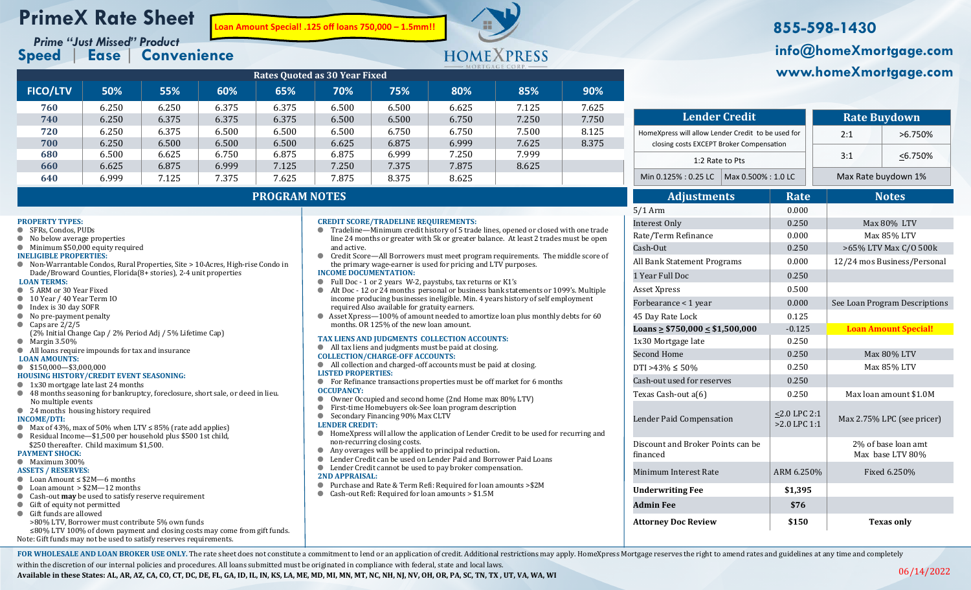## **PrimeX Rate Sheet**

**Speed** | **Ease** | **Convenience**

**Loan Amount Special! .125 off loans 750,000 – 1.5mm!!**



## Prime "Just Missed" Product *Prime "Just Missed" Product* **Business And Amount Special! .125 off loans 750,000 – 1.5mm!!<br>Prime "Just Missed" Product in the Channel Yust Missed" Product info@homeXmortgage.com www.homeXmortgage.com**

| <b>Rates Quoted as 30 Year Fixed</b> |       |       |       |       |                                                                                                                                                                |       |       |       |       |  |  |  |  |
|--------------------------------------|-------|-------|-------|-------|----------------------------------------------------------------------------------------------------------------------------------------------------------------|-------|-------|-------|-------|--|--|--|--|
| <b>FICO/LTV</b>                      | 50%   | 55%   | 60%   | 65%   | 70%                                                                                                                                                            | 75%   | 80%   | 85%   | 90%   |  |  |  |  |
| 760                                  | 6.250 | 6.250 | 6.375 | 6.375 | 6.500                                                                                                                                                          | 6.500 | 6.625 | 7.125 | 7.625 |  |  |  |  |
| 740                                  | 6.250 | 6.375 | 6.375 | 6.375 | 6.500                                                                                                                                                          | 6.500 | 6.750 | 7.250 | 7.750 |  |  |  |  |
| 720                                  | 6.250 | 6.375 | 6.500 | 6.500 | 6.500                                                                                                                                                          | 6.750 | 6.750 | 7.500 | 8.125 |  |  |  |  |
| 700                                  | 6.250 | 6.500 | 6.500 | 6.500 | 6.625                                                                                                                                                          | 6.875 | 6.999 | 7.625 | 8.375 |  |  |  |  |
| 680                                  | 6.500 | 6.625 | 6.750 | 6.875 | 6.875                                                                                                                                                          | 6.999 | 7.250 | 7.999 |       |  |  |  |  |
| 660                                  | 6.625 | 6.875 | 6.999 | 7.125 | 7.250                                                                                                                                                          | 7.375 | 7.875 | 8.625 |       |  |  |  |  |
| 640                                  | 6.999 | 7.125 | 7.375 | 7.625 | 7.875                                                                                                                                                          | 8.375 | 8.625 |       |       |  |  |  |  |
| <b>PROGRAM NOTES</b>                 |       |       |       |       |                                                                                                                                                                |       |       |       |       |  |  |  |  |
|                                      |       |       |       |       |                                                                                                                                                                |       |       |       |       |  |  |  |  |
| PROPERTY TYPES:                      |       |       |       |       | <b>CREDIT SCORE/TRADELINE REQUIREMENTS:</b><br>● → PROS 3.19.00 → NP (2000) = 0.00 3.4 1.9 (2000) = 0.00 3.4 1.000 = 0.000 3.000 = 0.000 = 0.000 = 0.000 = 0.0 |       |       |       |       |  |  |  |  |

- **PROPERTY TYPES:**
- SFRs, Condos, PUDs
- No below average properties
- Minimum \$50,000 equity required
- **INELIGIBLE PROPERTIES:**
- Non-Warrantable Condos, Rural Properties, Site > 10-Acres, High-rise Condo in Dade/Broward Counties, Florida(8+ stories), 2-4 unit properties **LOAN TERMS:**
- 
- 5 ARM or 30 Year Fixed ● 10 Year / 40 Year Term IO
- Index is 30 day SOFR
- No pre-payment penalty
- $\bullet$  Caps are 2/2/5
- (2% Initial Change Cap / 2% Period Adj / 5% Lifetime Cap)
- Margin 3.50%
- All loans require impounds for tax and insurance
- **LOAN AMOUNTS:**
- \$150,000—\$3,000,000 **HOUSING HISTORY/CREDIT EVENT SEASONING:**
- 1x30 mortgage late last 24 months
- 48 months seasoning for bankruptcy, foreclosure, short sale, or deed in lieu. No multiple events
- 24 months housing history required
- **INCOME/DTI:**
- Max of 43%, max of 50% when LTV ≤ 85% (rate add applies)
- Residual Income—\$1,500 per household plus \$500 1st child, \$250 thereafter. Child maximum \$1,500.
- **PAYMENT SHOCK:**
- Maximum 300%

## **ASSETS / RESERVES:**

- Loan Amount ≤ \$2M—6 months
- Loan amount  $> $2M-12$  months
- Cash-out **may** be used to satisfy reserve requirement
- Gift of equity not permitted
- Gift funds are allowed
- >80% LTV, Borrower must contribute 5% own funds

≤80% LTV 100% of down payment and closing costs may come from gift funds. Note: Gift funds may not be used to satisfy reserves requirements.

| • Tradeline—Minimum credit history of 5 trade lines, opened or closed with one trade<br>line 24 months or greater with 5k or greater balance. At least 2 trades must be open                                           |
|------------------------------------------------------------------------------------------------------------------------------------------------------------------------------------------------------------------------|
| and active.                                                                                                                                                                                                            |
| • Credit Score—All Borrowers must meet program requirements. The middle score of<br>the primary wage-earner is used for pricing and LTV purposes.                                                                      |
| <b>INCOME DOCUMENTATION:</b>                                                                                                                                                                                           |
| Full Doc - 1 or 2 years W-2, paystubs, tax returns or K1's                                                                                                                                                             |
| Alt Doc - 12 or 24 months personal or business bank statements or 1099's. Multiple<br>income producing businesses ineligible. Min. 4 years history of self employment<br>required Also available for gratuity earners. |
| Asset Xpress—100% of amount needed to amortize loan plus monthly debts for 60<br>months. OR 125% of the new loan amount.                                                                                               |
| TAX LIENS AND JUDGMENTS COLLECTION ACCOUNTS:                                                                                                                                                                           |
| All tax liens and judgments must be paid at closing.                                                                                                                                                                   |
| <b>COLLECTION/CHARGE-OFF ACCOUNTS:</b>                                                                                                                                                                                 |
| All collection and charged-off accounts must be paid at closing.                                                                                                                                                       |
| <b>LISTED PROPERTIES:</b>                                                                                                                                                                                              |
| For Refinance transactions properties must be off market for 6 months                                                                                                                                                  |
| <b>OCCUPANCY:</b>                                                                                                                                                                                                      |
| Owner Occupied and second home (2nd Home max 80% LTV)                                                                                                                                                                  |
| First-time Homebuyers ok-See loan program description                                                                                                                                                                  |
| Secondary Financing 90% Max CLTV                                                                                                                                                                                       |
| <b>LENDER CREDIT:</b>                                                                                                                                                                                                  |
| HomeXpress will allow the application of Lender Credit to be used for recurring and<br>non-recurring closing costs.                                                                                                    |
|                                                                                                                                                                                                                        |

- Any overages will be applied to principal reduction**.**
- **EXECUTE: Lender Credit can be used on Lender Paid and Borrower Paid Loans**
- Lender Credit cannot be used to pay broker compensation.
- **2ND APPRAISAL:**
- Purchase and Rate & Term Rei: Required for loan amounts >\$2M
- Cash-out Refi: Required for loan amounts > \$1.5M

| <b>Lender Credit</b>                                                                           |                                   |             | <b>Rate Buydown</b> |                               |                             |  |  |  |
|------------------------------------------------------------------------------------------------|-----------------------------------|-------------|---------------------|-------------------------------|-----------------------------|--|--|--|
| HomeXpress will allow Lender Credit to be used for<br>closing costs EXCEPT Broker Compensation |                                   |             |                     | 2:1                           | >6.750%                     |  |  |  |
| 1:2 Rate to Pts                                                                                |                                   |             | 3:1                 | $< 6.750\%$                   |                             |  |  |  |
| Min 0.125% : 0.25 LC                                                                           | Max 0.500%: 1.0 LC                |             |                     | Max Rate buydown 1%           |                             |  |  |  |
| <b>Adjustments</b>                                                                             |                                   | <b>Rate</b> |                     |                               | <b>Notes</b>                |  |  |  |
| $5/1$ Arm                                                                                      |                                   | 0.000       |                     |                               |                             |  |  |  |
| <b>Interest Only</b>                                                                           |                                   | 0.250       |                     | Max 80% LTV                   |                             |  |  |  |
| Rate/Term Refinance                                                                            |                                   | 0.000       |                     | Max 85% LTV                   |                             |  |  |  |
| Cash-Out                                                                                       |                                   | 0.250       |                     | >65% LTV Max C/O 500k         |                             |  |  |  |
| All Bank Statement Programs                                                                    |                                   | 0.000       |                     | 12/24 mos Business/Personal   |                             |  |  |  |
| 1 Year Full Doc                                                                                |                                   | 0.250       |                     |                               |                             |  |  |  |
| Asset Xpress                                                                                   |                                   | 0.500       |                     |                               |                             |  |  |  |
| Forbearance < 1 year                                                                           |                                   | 0.000       |                     | See Loan Program Descriptions |                             |  |  |  |
| 45 Day Rate Lock                                                                               |                                   | 0.125       |                     |                               |                             |  |  |  |
| Loans $\geq$ \$750,000 $\leq$ \$1,500,000                                                      |                                   | $-0.125$    |                     |                               | <b>Loan Amount Special!</b> |  |  |  |
| 1x30 Mortgage late                                                                             |                                   | 0.250       |                     |                               |                             |  |  |  |
| <b>Second Home</b>                                                                             |                                   | 0.250       |                     | Max 80% LTV                   |                             |  |  |  |
| DTI >43% $\leq$ 50%                                                                            |                                   | 0.250       |                     |                               | Max 85% LTV                 |  |  |  |
| Cash-out used for reserves                                                                     |                                   | 0.250       |                     |                               |                             |  |  |  |
| Texas Cash-out a(6)                                                                            |                                   | 0.250       |                     |                               | Max loan amount \$1.0M      |  |  |  |
| Lender Paid Compensation                                                                       | $< 2.0$ LPC 2:1<br>$>2.0$ LPC 1:1 |             |                     | Max 2.75% LPC (see pricer)    |                             |  |  |  |
| Discount and Broker Points can be                                                              |                                   |             |                     |                               | 2% of base loan amt         |  |  |  |

Minimum Interest Rate ARM 6.250%

Attorney Doc Review **8150 Texas only** 

**Underwriting Fee \$1,395 Admin Fee \$76**

inanced

FOR WHOLESALE AND LOAN BROKER USE ONLY. The rate sheet does not constitute a commitment to lend or an application of credit. Additional restrictions may apply. HomeXpress Mortgage reserves the right to amend rates and guid

within the discretion of our internal policies and procedures. All loans submitted must be originated in compliance with federal, state and local laws.

**Available in these States: AL, AR, AZ, CA, CO, CT, DC, DE, FL, GA, ID, IL, IN, KS, LA, ME, MD, MI, MN, MT, NC, NH, NJ, NV, OH, OR, PA, SC, TN, TX , UT, VA, WA, WI**

Max base LTV 80%